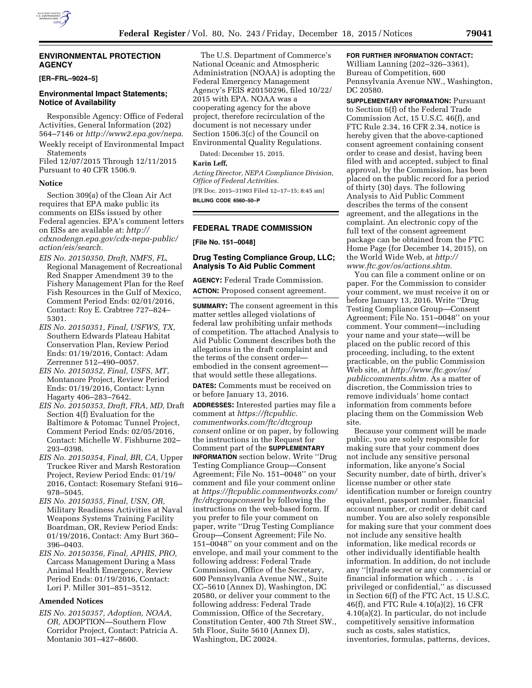### **ENVIRONMENTAL PROTECTION AGENCY**

### **[ER–FRL–9024–5]**

#### **Environmental Impact Statements; Notice of Availability**

Responsible Agency: Office of Federal Activities, General Information (202) 564–7146 or *<http://www2.epa.gov/nepa>*.

Weekly receipt of Environmental Impact Statements Filed 12/07/2015 Through 12/11/2015

Pursuant to 40 CFR 1506.9.

#### **Notice**

Section 309(a) of the Clean Air Act requires that EPA make public its comments on EISs issued by other Federal agencies. EPA's comment letters on EISs are available at: *[http://](http://cdxnodengn.epa.gov/cdx-nepa-public/action/eis/search) [cdxnodengn.epa.gov/cdx-nepa-public/](http://cdxnodengn.epa.gov/cdx-nepa-public/action/eis/search) [action/eis/search.](http://cdxnodengn.epa.gov/cdx-nepa-public/action/eis/search)* 

- *EIS No. 20150350, Draft, NMFS, FL,*  Regional Management of Recreational Red Snapper Amendment 39 to the Fishery Management Plan for the Reef Fish Resources in the Gulf of Mexico, Comment Period Ends: 02/01/2016, Contact: Roy E. Crabtree 727–824– 5301.
- *EIS No. 20150351, Final, USFWS, TX,*  Southern Edwards Plateau Habitat Conservation Plan, Review Period Ends: 01/19/2016, Contact: Adam Zerrenner 512–490–0057.
- *EIS No. 20150352, Final, USFS, MT,*  Montanore Project, Review Period Ends: 01/19/2016, Contact: Lynn Hagarty 406–283–7642.
- *EIS No. 20150353, Draft, FRA, MD,* Draft Section 4(f) Evaluation for the Baltimore & Potomac Tunnel Project, Comment Period Ends: 02/05/2016, Contact: Michelle W. Fishburne 202– 293–0398.
- *EIS No. 20150354, Final, BR, CA,* Upper Truckee River and Marsh Restoration Project, Review Period Ends: 01/19/ 2016, Contact: Rosemary Stefani 916– 978–5045.
- *EIS No. 20150355, Final, USN, OR,*  Military Readiness Activities at Naval Weapons Systems Training Facility Boardman, OR, Review Period Ends: 01/19/2016, Contact: Amy Burt 360– 396–0403.
- *EIS No. 20150356, Final, APHIS, PRO,*  Carcass Management During a Mass Animal Health Emergency, Review Period Ends: 01/19/2016, Contact: Lori P. Miller 301–851–3512.

#### **Amended Notices**

*EIS No. 20150357, Adoption, NOAA, OR,* ADOPTION—Southern Flow Corridor Project, Contact: Patricia A. Montanio 301–427–8600.

The U.S. Department of Commerce's National Oceanic and Atmospheric Administration (NOAA) is adopting the Federal Emergency Management Agency's FEIS #20150296, filed 10/22/ 2015 with EPA. NOAA was a cooperating agency for the above project, therefore recirculation of the document is not necessary under Section 1506.3(c) of the Council on Environmental Quality Regulations.

Dated: December 15, 2015.

#### **Karin Leff,**

*Acting Director, NEPA Compliance Division, Office of Federal Activities.* 

[FR Doc. 2015–31903 Filed 12–17–15; 8:45 am] **BILLING CODE 6560–50–P** 

### **FEDERAL TRADE COMMISSION**

**[File No. 151–0048]** 

#### **Drug Testing Compliance Group, LLC; Analysis To Aid Public Comment**

**AGENCY:** Federal Trade Commission. **ACTION:** Proposed consent agreement.

**SUMMARY:** The consent agreement in this matter settles alleged violations of federal law prohibiting unfair methods of competition. The attached Analysis to Aid Public Comment describes both the allegations in the draft complaint and the terms of the consent order embodied in the consent agreement that would settle these allegations.

**DATES:** Comments must be received on or before January 13, 2016.

**ADDRESSES:** Interested parties may file a comment at *[https://ftcpublic.](https://ftcpublic.commentworks.com/ftc/dtcgroupconsent) [commentworks.com/ftc/dtcgroup](https://ftcpublic.commentworks.com/ftc/dtcgroupconsent) [consent](https://ftcpublic.commentworks.com/ftc/dtcgroupconsent)* online or on paper, by following the instructions in the Request for Comment part of the **SUPPLEMENTARY INFORMATION** section below. Write ''Drug Testing Compliance Group—Consent Agreement; File No. 151–0048'' on your comment and file your comment online at *[https://ftcpublic.commentworks.com/](https://ftcpublic.commentworks.com/ftc/dtcgroupconsent) [ftc/dtcgroupconsent](https://ftcpublic.commentworks.com/ftc/dtcgroupconsent)* by following the instructions on the web-based form. If you prefer to file your comment on paper, write ''Drug Testing Compliance Group—Consent Agreement; File No. 151–0048'' on your comment and on the envelope, and mail your comment to the following address: Federal Trade Commission, Office of the Secretary, 600 Pennsylvania Avenue NW., Suite CC–5610 (Annex D), Washington, DC 20580, or deliver your comment to the following address: Federal Trade Commission, Office of the Secretary, Constitution Center, 400 7th Street SW., 5th Floor, Suite 5610 (Annex D), Washington, DC 20024.

### **FOR FURTHER INFORMATION CONTACT:**

William Lanning (202–326–3361), Bureau of Competition, 600 Pennsylvania Avenue NW., Washington, DC 20580.

**SUPPLEMENTARY INFORMATION:** Pursuant to Section 6(f) of the Federal Trade Commission Act, 15 U.S.C. 46(f), and FTC Rule 2.34, 16 CFR 2.34, notice is hereby given that the above-captioned consent agreement containing consent order to cease and desist, having been filed with and accepted, subject to final approval, by the Commission, has been placed on the public record for a period of thirty (30) days. The following Analysis to Aid Public Comment describes the terms of the consent agreement, and the allegations in the complaint. An electronic copy of the full text of the consent agreement package can be obtained from the FTC Home Page (for December 14, 2015), on the World Wide Web, at *[http://](http://www.ftc.gov/os/actions.shtm) [www.ftc.gov/os/actions.shtm.](http://www.ftc.gov/os/actions.shtm)* 

You can file a comment online or on paper. For the Commission to consider your comment, we must receive it on or before January 13, 2016. Write ''Drug Testing Compliance Group—Consent Agreement; File No. 151–0048'' on your comment. Your comment—including your name and your state—will be placed on the public record of this proceeding, including, to the extent practicable, on the public Commission Web site, at *[http://www.ftc.gov/os/](http://www.ftc.gov/os/publiccomments.shtm) [publiccomments.shtm.](http://www.ftc.gov/os/publiccomments.shtm)* As a matter of discretion, the Commission tries to remove individuals' home contact information from comments before placing them on the Commission Web site.

Because your comment will be made public, you are solely responsible for making sure that your comment does not include any sensitive personal information, like anyone's Social Security number, date of birth, driver's license number or other state identification number or foreign country equivalent, passport number, financial account number, or credit or debit card number. You are also solely responsible for making sure that your comment does not include any sensitive health information, like medical records or other individually identifiable health information. In addition, do not include any ''[t]rade secret or any commercial or financial information which . . . is privileged or confidential,'' as discussed in Section 6(f) of the FTC Act, 15 U.S.C. 46(f), and FTC Rule 4.10(a)(2), 16 CFR 4.10(a)(2). In particular, do not include competitively sensitive information such as costs, sales statistics, inventories, formulas, patterns, devices,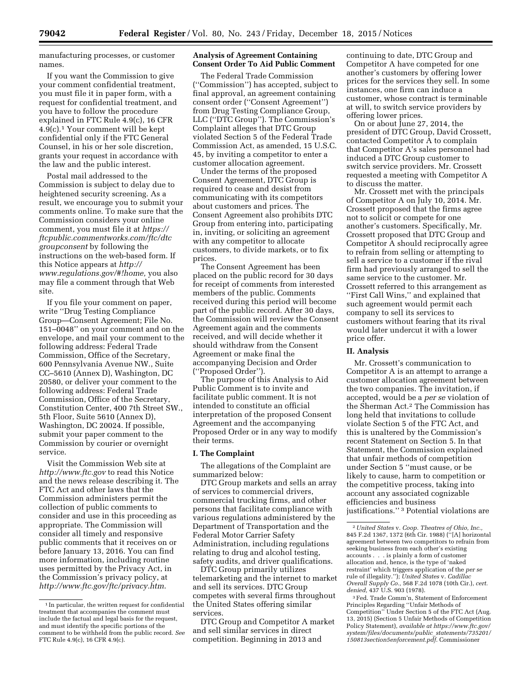manufacturing processes, or customer names.

If you want the Commission to give your comment confidential treatment, you must file it in paper form, with a request for confidential treatment, and you have to follow the procedure explained in FTC Rule 4.9(c), 16 CFR 4.9(c).1 Your comment will be kept confidential only if the FTC General Counsel, in his or her sole discretion, grants your request in accordance with the law and the public interest.

Postal mail addressed to the Commission is subject to delay due to heightened security screening. As a result, we encourage you to submit your comments online. To make sure that the Commission considers your online comment, you must file it at *[https://](https://ftcpublic.commentworks.com/ftc/dtcgroupconsent) [ftcpublic.commentworks.com/ftc/dtc](https://ftcpublic.commentworks.com/ftc/dtcgroupconsent) [groupconsent](https://ftcpublic.commentworks.com/ftc/dtcgroupconsent)* by following the instructions on the web-based form. If this Notice appears at *[http://](http://www.regulations.gov/#!home) [www.regulations.gov/#!home,](http://www.regulations.gov/#!home)* you also may file a comment through that Web site.

If you file your comment on paper, write ''Drug Testing Compliance Group—Consent Agreement; File No. 151–0048'' on your comment and on the envelope, and mail your comment to the following address: Federal Trade Commission, Office of the Secretary, 600 Pennsylvania Avenue NW., Suite CC–5610 (Annex D), Washington, DC 20580, or deliver your comment to the following address: Federal Trade Commission, Office of the Secretary, Constitution Center, 400 7th Street SW., 5th Floor, Suite 5610 (Annex D), Washington, DC 20024. If possible, submit your paper comment to the Commission by courier or overnight service.

Visit the Commission Web site at *<http://www.ftc.gov>*to read this Notice and the news release describing it. The FTC Act and other laws that the Commission administers permit the collection of public comments to consider and use in this proceeding as appropriate. The Commission will consider all timely and responsive public comments that it receives on or before January 13, 2016. You can find more information, including routine uses permitted by the Privacy Act, in the Commission's privacy policy, at *<http://www.ftc.gov/ftc/privacy.htm>*.

### **Analysis of Agreement Containing Consent Order To Aid Public Comment**

The Federal Trade Commission (''Commission'') has accepted, subject to final approval, an agreement containing consent order (''Consent Agreement'') from Drug Testing Compliance Group, LLC (''DTC Group''). The Commission's Complaint alleges that DTC Group violated Section 5 of the Federal Trade Commission Act, as amended, 15 U.S.C. 45, by inviting a competitor to enter a customer allocation agreement.

Under the terms of the proposed Consent Agreement, DTC Group is required to cease and desist from communicating with its competitors about customers and prices. The Consent Agreement also prohibits DTC Group from entering into, participating in, inviting, or soliciting an agreement with any competitor to allocate customers, to divide markets, or to fix prices.

The Consent Agreement has been placed on the public record for 30 days for receipt of comments from interested members of the public. Comments received during this period will become part of the public record. After 30 days, the Commission will review the Consent Agreement again and the comments received, and will decide whether it should withdraw from the Consent Agreement or make final the accompanying Decision and Order (''Proposed Order'').

The purpose of this Analysis to Aid Public Comment is to invite and facilitate public comment. It is not intended to constitute an official interpretation of the proposed Consent Agreement and the accompanying Proposed Order or in any way to modify their terms.

#### **I. The Complaint**

The allegations of the Complaint are summarized below:

DTC Group markets and sells an array of services to commercial drivers, commercial trucking firms, and other persons that facilitate compliance with various regulations administered by the Department of Transportation and the Federal Motor Carrier Safety Administration, including regulations relating to drug and alcohol testing, safety audits, and driver qualifications.

DTC Group primarily utilizes telemarketing and the internet to market and sell its services. DTC Group competes with several firms throughout the United States offering similar services.

DTC Group and Competitor A market and sell similar services in direct competition. Beginning in 2013 and

continuing to date, DTC Group and Competitor A have competed for one another's customers by offering lower prices for the services they sell. In some instances, one firm can induce a customer, whose contract is terminable at will, to switch service providers by offering lower prices.

On or about June 27, 2014, the president of DTC Group, David Crossett, contacted Competitor A to complain that Competitor A's sales personnel had induced a DTC Group customer to switch service providers. Mr. Crossett requested a meeting with Competitor A to discuss the matter.

Mr. Crossett met with the principals of Competitor A on July 10, 2014. Mr. Crossett proposed that the firms agree not to solicit or compete for one another's customers. Specifically, Mr. Crossett proposed that DTC Group and Competitor A should reciprocally agree to refrain from selling or attempting to sell a service to a customer if the rival firm had previously arranged to sell the same service to the customer. Mr. Crossett referred to this arrangement as ''First Call Wins,'' and explained that such agreement would permit each company to sell its services to customers without fearing that its rival would later undercut it with a lower price offer.

#### **II. Analysis**

Mr. Crossett's communication to Competitor A is an attempt to arrange a customer allocation agreement between the two companies. The invitation, if accepted, would be a *per se* violation of the Sherman Act.2 The Commission has long held that invitations to collude violate Section 5 of the FTC Act, and this is unaltered by the Commission's recent Statement on Section 5. In that Statement, the Commission explained that unfair methods of competition under Section 5 ''must cause, or be likely to cause, harm to competition or the competitive process, taking into account any associated cognizable efficiencies and business justifications.'' 3 Potential violations are

<sup>1</sup> In particular, the written request for confidential treatment that accompanies the comment must include the factual and legal basis for the request, and must identify the specific portions of the comment to be withheld from the public record. *See*  FTC Rule 4.9(c), 16 CFR 4.9(c).

<sup>2</sup>*United States* v. *Coop. Theatres of Ohio, Inc.,*  845 F.2d 1367, 1372 (6th Cir. 1988) (''[A] horizontal agreement between two competitors to refrain from seeking business from each other's existing accounts . . . is plainly a form of customer allocation and, hence, is the type of 'naked restraint' which triggers application of the *per se*  rule of illegality.''); *United States* v. *Cadillac Overall Supply Co.,* 568 F.2d 1078 (10th Cir.), *cert. denied,* 437 U.S. 903 (1978).

<sup>3</sup>Fed. Trade Comm'n, Statement of Enforcement Principles Regarding ''Unfair Methods of Competition'' Under Section 5 of the FTC Act (Aug. 13, 2015) (Section 5 Unfair Methods of Competition Policy Statement), *available at [https://www.ftc.gov/](https://www.ftc.gov/system/files/documents/public_statements/735201/150813section5enforcement.pdf) [system/files/documents/public](https://www.ftc.gov/system/files/documents/public_statements/735201/150813section5enforcement.pdf)*\_*statements/735201/ [150813section5enforcement.pdf](https://www.ftc.gov/system/files/documents/public_statements/735201/150813section5enforcement.pdf)*. Commissioner